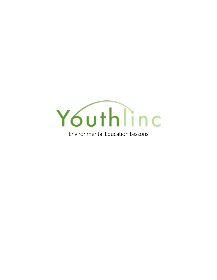

Environmental Education Lessons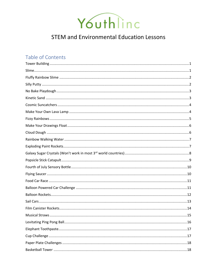

## **STEM and Environmental Education Lessons**

## Table of Contents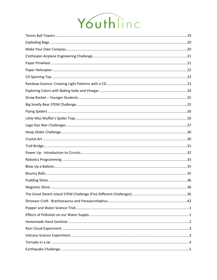# Youthline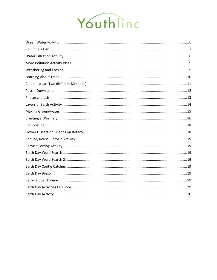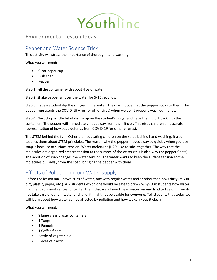

## Environmental Lesson Ideas

## <span id="page-4-0"></span>Pepper and Water Science Trick

This activity will stress the importance of thorough hand washing.

What you will need:

- Clear paper cup
- Dish soap
- Pepper

Step 1: Fill the container with about 4 oz of water.

Step 2: Shake pepper all over the water for 5-10 seconds.

Step 3: Have a student dip their finger in the water. They will notice that the pepper sticks to them. The pepper represents the COVID-19 virus (or other virus) when we don't properly wash our hands.

Step 4: Next drop a little bit of dish soap on the student's finger and have them dip it back into the container. The pepper will immediately float away from their finger. This gives children an accurate representation of how soap defends from COVID-19 (or other viruses).

The STEM behind the fun: Other than educating children on the value behind hand washing, it also teaches them about STEM principles. The reason why the pepper moves away so quickly when you use soap is because of surface tension. Water molecules (H20) like to stick together. The way that the molecules are organized creates tension at the surface of the water (this is also why the pepper floats). The addition of soap changes the water tension. The water wants to keep the surface tension so the molecules pull away from the soap, bringing the pepper with them.

## <span id="page-4-1"></span>Effects of Pollution on our Water Supply

Before the lesson mix up two cups of water, one with regular water and another that looks dirty (mix in dirt, plastic, paper, etc.). Ask students which one would be safe to drink? Why? Ask students how water in our environment can get dirty. Tell them that we all need clean water, air and land to live on. If we do not take care of our air, water and land, it might not be usable for everyone. Tell students that today we will learn about how water can be affected by pollution and how we can keep it clean.

What you will need:

- 8 large clear plastic containers
- 4 Tongs
- 4 Funnels
- 4 Coffee filters
- Bottle of vegetable oil
- Pieces of plastic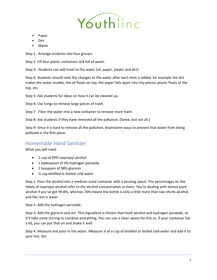

- Paper
- Dirt
- **Water**

Step 1: Arrange students into four groups.

Step 2: Fill four plastic containers 3/4 full of water.

Step 3: Students can add trash to the water (oil, paper, plastic and dirt).

Step 4: Students should note the changes to the water after each item is added, for example the dirt makes the water muddy, the oil floats on top, the paper falls apart into tiny pieces, plastic floats at the top, etc.

Step 5: Ask students for ideas on how it can be cleaned up.

Step 6: Use tongs to remove large pieces of trash.

Step 7: Filter the water into a new container to remove more trash.

Step 8: Ask students if they have removed all the pollution. (Some, but not all.)

Step 9: Since it is hard to remove all the pollution, brainstorm ways to prevent that water from being polluted in the first place.

## <span id="page-5-0"></span>Homemade Hand Sanitizer

What you will need:

- 1 cup of 99% isopropyl alcohol
- 1 tablespoon of 3% hydrogen peroxide
- 1 teaspoon of 98% glycerin
- ¼ cup distilled or boiled cold water

Step 1: Pour the alcohol into a medium-sized container with a pouring spout. The percentages on the labels of isopropyl alcohol refer to the alcohol concentration in them. You're dealing with almost pure alcohol if you've got 99.8%, whereas 70% means the bottle is only a little more than two-thirds alcohol, and the rest is water.

Step 2: Add the hydrogen peroxide.

Step 3: Add the glycerin and stir. This ingredient is thicker than both alcohol and hydrogen peroxide, so it'll take some stirring to combine everything. You can use a clean spoon for this or, if your container has a lid, you can put that on and shake it well.

Step 4: Measure and pour in the water. Measure ¼ of a cup of distilled or boiled cold water and add it to your mix. Stir.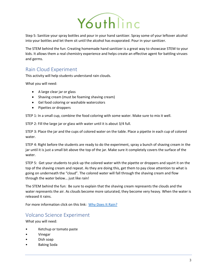

Step 5: Sanitize your spray bottles and pour in your hand sanitizer. Spray some of your leftover alcohol into your bottles and let them sit until the alcohol has evaporated. Pour in your sanitizer.

The STEM behind the fun: Creating homemade hand sanitizer is a great way to showcase STEM to your kids. It allows them a real chemistry experience and helps create an effective agent for battling viruses and germs.

## <span id="page-6-0"></span>Rain Cloud Experiment

This activity will help students understand rain clouds.

What you will need:

- A large clear jar or glass
- Shaving cream (must be foaming shaving cream)
- Gel food coloring or washable watercolors
- Pipettes or droppers

STEP 1: In a small cup, combine the food coloring with some water. Make sure to mix it well.

STEP 2: Fill the large jar or glass with water until it is about 3/4 full.

STEP 3: Place the jar and the cups of colored water on the table. Place a pipette in each cup of colored water.

STEP 4: Right before the students are ready to do the experiment, spray a bunch of shaving cream in the jar until it is just a small bit above the top of the jar. Make sure it completely covers the surface of the water.

STEP 5: Get your students to pick up the colored water with the pipette or droppers and squirt it on the top of the shaving cream and repeat. As they are doing this, get them to pay close attention to what is going on underneath the "cloud". The colored water will fall through the shaving cream and flow through the water below… just like rain!

The STEM behind the fun: Be sure to explain that the shaving cream represents the clouds and the water represents the air. As clouds become more saturated, they become very heavy. When the water is released it rains.

For more information click on this link: [Why Does](https://drive.google.com/open) It Rain?

## <span id="page-6-1"></span>Volcano Science Experiment

What you will need:

- Ketchup or tomato paste
- Vinegar
- Dish soap
- Baking Soda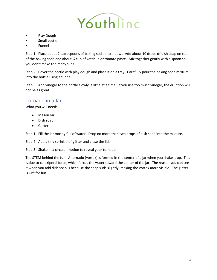

- Play Dough
- Small bottle
- Funnel

Step 1: Place about 2 tablespoons of baking soda into a bowl. Add about 10 drops of dish soap on top of the baking soda and about ¼ cup of ketchup or tomato paste. Mix together gently with a spoon so you don't make too many suds.

Step 2: Cover the bottle with play dough and place it on a tray. Carefully pour the baking soda mixture into the bottle using a funnel.

Step 3: Add vinegar to the bottle slowly, a little at a time. If you use too much vinegar, the eruption will not be as great.

## <span id="page-7-0"></span>Tornado in a Jar

What you will need:

- Mason Jar
- Dish soap
- Glitter

Step 1: Fill the jar mostly full of water. Drop no more than two drops of dish soap into the mixture.

Step 2: Add a tiny sprinkle of glitter and close the lid.

Step 3: Shake in a circular motion to reveal your tornado

The STEM behind the fun: A tornado (vortex) is formed in the center of a jar when you shake it up. This is due to centripetal force, which forces the water toward the center of the jar. The reason you can see it when you add dish soap is because the soap suds slightly, making the vortex more visible. The glitter is just for fun.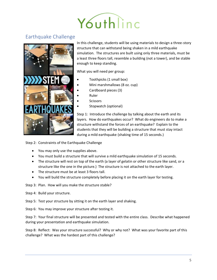# Youthline

## <span id="page-8-0"></span>Earthquake Challenge



In this challenge, students will be using materials to design a three-story structure that can withstand being shaken in a mild earthquake simulation. The structures are built using only three materials, must be a least three floors tall, resemble a building (not a tower), and be stable enough to keep standing.

What you will need per group:

- Toothpicks (1 small box)
- Mini marshmallows (8 oz. cup)
- Cardboard pieces (3)
- Ruler
- **Scissors**
- Stopwatch (optional)

Step 1: Introduce the challenge by talking about the earth and its layers. How do earthquakes occur? What do engineers do to make a structure withstand the forces of an earthquake? Explain to the students that they will be building a structure that must stay intact during a mild earthquake (shaking time of 15 seconds.)

Step 2: Constraints of the Earthquake Challenge

- You may only use the supplies above.
- You must build a structure that will survive a mild earthquake simulation of 15 seconds.
- The structure will rest on top of the earth (a layer of gelatin or other structure like sand, or a structure like the one in the picture.) The structure is not attached to the earth layer.
- The structure must be at least 3 floors tall.
- You will build the structure completely before placing it on the earth layer for testing.

Step 3: Plan. How will you make the structure stable?

Step 4: Build your structure.

Step 5: Test your structure by sitting it on the earth layer and shaking.

Step 6: You may improve your structure after testing it.

Step 7: Your final structure will be presented and tested with the entire class. Describe what happened during your presentation and earthquake simulation.

Step 8: Reflect: Was your structure successful? Why or why not? What was your favorite part of this challenge? What was the hardest part of this challenge?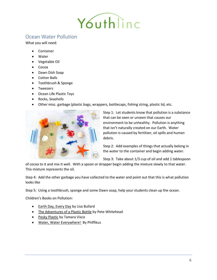

## <span id="page-9-0"></span>Ocean Water Pollution

What you will need:

- **Container**
- **Water**
- Vegetable Oil
- Cocoa
- Dawn Dish Soap
- Cotton Balls
- Toothbrush & Sponge
- Tweezers
- Ocean Life Plastic Toys
- Rocks, Seashells
- Other misc. garbage (plastic bags, wrappers, bottlecaps, fishing string, plastic lid, etc.



Step 1: Let students know that pollution is a substance that can be seen or unseen that causes our environment to be unhealthy. Pollution is anything that isn't naturally created on our Earth. Water pollution is caused by fertilizer, oil spills and human debris.

Step 2: Add examples of things that actually belong in the water to the container and begin adding water.

Step 3: Take about 1/3 cup of oil and add 1 tablespoon

of cocoa to it and mix it well. With a spoon or dropper begin adding the mixture slowly to that water. This mixture represents the oil.

Step 4: Add the other garbage you have collected to the water and point out that this is what pollution looks like

Step 5: Using a toothbrush, sponge and some Dawn soap, help your students clean up the ocean.

Children's Books on Pollution:

- Earth Day, Every Day by Lisa Bullard
- The Adventures of a Plastic Bottle by Pete Whitehead
- Pesky Plastic by Tamara Visco
- Water, Water Everywhere! By Phiffikus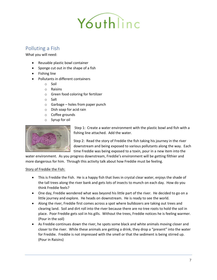

## <span id="page-10-0"></span>Polluting a Fish

What you will need:

- Reusable plastic bowl container
- Sponge cut out in the shape of a fish
- Fishing line
- Pollutants in different containers
	- o Soil
	- o Raisins
	- o Green food coloring for fertilizer
	- o Salt
	- $\circ$  Garbage holes from paper punch
	- o Dish soap for acid rain
	- o Coffee grounds
	- o Syrup for oil



Step 1: Create a water environment with the plastic bowl and fish with a fishing line attached. Add the water.

Step 2: Read the story of Freddie the fish taking his journey in the river downstream and being exposed to various pollutants along the way. Each time Freddie was being exposed to a toxin, pour in a new item into the

water environment. As you progress downstream, Freddie's environment will be getting filthier and more dangerous for him. Through this activity talk about how Freddie must be feeling.

#### Story of Freddie the Fish:

- This is Freddie the Fish. He is a happy fish that lives in crystal clear water, enjoys the shade of the tall trees along the river bank and gets lots of insects to munch on each day. How do you think Freddie feels?
- One day, Freddie wondered what was beyond his little part of the river. He decided to go on a little journey and explore. He heads on downstream. He is ready to see the world.
- Along the river, Freddie first comes across a spot where bulldozers are taking out trees and clearing land. Soil and dirt roll into the river because there are no tree roots to hold the soil in place. Poor Freddie gets soil in his gills. Without the trees, Freddie notices he is feeling warmer. (Pour in the soil)
- As Freddie continues down the river, he spots some black and white animals moving closer and closer to the river. While these animals are getting a drink, they drop a "present" into the water for Freddie. Freddie is not impressed with the smell or that the sediment is being stirred up. (Pour in Raisins)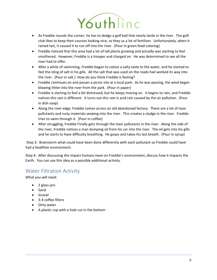

- As Freddie rounds the corner, he has to dodge a golf ball that nearly lands in the river. The golf club likes to keep their courses looking nice, so they us a lot of fertilizer. Unfortunately, when it rained last, it caused it to run off into the river. (Pour in green food coloring)
- Freddie noticed that this area had a lot of tall plants growing and actually was starting to feel smothered. However, Freddie is a trooper and charged on. He was determined to see all the river had to offer.
- After a while of swimming, Freddie began to notice a salty taste to the water, and he started to feel the sting of salt in his gills. All the salt that was used on the roads had worked its way into the river. (Pour in salt.) How do you think Freddie is feeling?
- Freddie continues on and passes a picnic site at a local park. As he was passing, the wind began blowing littler into the river from the park. (Pour in paper)
- Freddie is starting to feel a bit distressed, but he keeps moving on. It begins to rain, and Freddie notices this rain is different. It turns out this rain is acid rain caused by the air pollution. (Pour in dish soap)
- Along the river edge, Freddie comes across an old abandoned factory. There are a lot of toxic pollutants and rusty materials seeping into the river. This creates a sludge in the river. Freddie tries to swim through it. (Pour in coffee)
- After struggling, Freddie Finally gets through the toxic pollutants in the river. Along the side of the river, Freddie notices a man dumping oil from his car into the river. The oil gets into his gills and he starts to have difficulty breathing. He gasps and takes his last breath. (Pour in syrup)

Step 3: Brainstorm what could have been done differently with each pollutant so Freddie could have had a healthier environment.

Step 4: After discussing the impact humans have on Freddie's environment, discuss how it impacts the Earth. You can use this idea as a possible additional activity.

## <span id="page-11-0"></span>Water Filtration Activity

What you will need:

- 2 glass jars
- Sand
- Gravel
- 3-4 coffee filters
- Dirty water
- A plastic cup with a hole cut in the bottom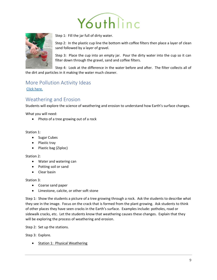



Step 1: Fill the jar full of dirty water.

Step 2: In the plastic cup line the bottom with coffee filters then place a layer of clean sand followed by a layer of gravel.

Step 3: Place the cup into an empty jar. Pour the dirty water into the cup so it can filter down through the gravel, sand and coffee filters.

Step 4: Look at the difference in the water before and after. The filter collects all of the dirt and particles in it making the water much cleaner.

## <span id="page-12-0"></span>More Pollution Activity Ideas [Click here.](http://www.internationalpaper.com/docs/default-source/english/sustainability/treeeats.pdf)

## <span id="page-12-1"></span>Weathering and Erosion

Students will explore the science of weathering and erosion to understand how Earth's surface changes.

What you will need:

• Photo of a tree growing out of a rock

#### Station 1:

- Sugar Cubes
- Plastic tray
- Plastic bag (Ziploc)

#### Station 2:

- Water and watering can
- Potting soil or sand
- Clear basin

#### Station 3:

- Coarse sand paper
- Limestone, calcite, or other soft stone

Step 1: Show the students a picture of a tree growing through a rock. Ask the students to describe what they see in the image. Focus on the crack that is formed from the plant growing. Ask students to think of other places they have seen cracks in the Earth's surface. Examples include: potholes, road or sidewalk cracks, etc. Let the students know that weathering causes these changes. Explain that they will be exploring the process of weathering and erosion.

Step 2: Set up the stations.

Step 3: Explore.

• Station 1: Physical Weathering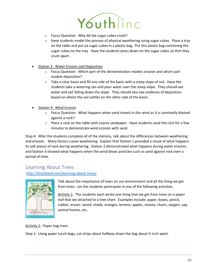

- o Focus Question: Why dd the sugar cubes crush?
- $\circ$  Have students model the process of physical weathering using sugar cubes. Place a tray on the table and put six sugar cubes in a plastic bag. Put this plastic bag containing the sugar cubes on the tray. Have the students press down on the sugar cubes so that they crush apart.
- Station 2: Water Erosion and Deposition
	- $\circ$  Focus Question: Which part of the demonstration models erosion and which part models deposition?
	- $\circ$  Take a clear basin and fill one side of the basin with a steep slope of soil. Have the students take a watering can and pour water over the steep slope. They should see water and soil falling down the slope. They should also see evidence of deposition based on where the soil settles on the other side of the basin.
- Station 3: Wind Erosion
	- $\circ$  Focus Question: What happens when sand travels in the wind as it is constantly blasted against a rock?
	- $\circ$  Place a rock on the table with coarse sandpaper. Have students sand the rock for a few minutes to demonstrate wind erosion with sand.

Step 4: After the students complete all of the stations, talk about the differences between weathering and erosion. Many factors cause weathering. Explain that Station 1 provided a visual of what happens to soft pieces of rock during weathering. Station 2 demonstrated what happens during water erosion, and Station 3 showed what happens when the wind blows particles such as sand against rock over a period of time.

## <span id="page-13-0"></span>Learning About Trees

[http://firstieland.com/learning-about-trees/](https://drive.google.com/file/d/0B-cVjZBMBNNXUVZfX0RLd2ZycWs/view)



Talk about the importance of trees on our environment and all the thing we get from trees. Let the students participate in one of the following activities.

Activity 1: The students each wrote one thing that we get from trees on a paper leaf that we attached to a tree chart. Examples include: paper, boxes, pencil, rubber, eraser, wood, shade, oranges, lemons, apples, money, chairs, oxygen, sap, animal homes, etc.

Activity 2: Paper bag trees

Step 1: Using paper lunch bags, cut strips about halfway down the bag about ½ inch apart.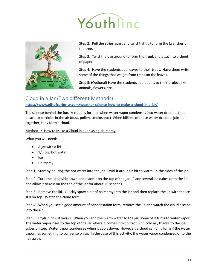



Step 2: Pull the strips apart and twist tightly to form the branches of the tree.

Step 3: Twist the bag around to form the trunk and attach to a sheet of paper.

Step 4: Have the students add leaves to their trees. Have them write some of the things that we get from trees on the leaves.

Step 5: (Optional) Have the students add details to their project like animals, flowers, etc.

### <span id="page-14-0"></span>Cloud in a Jar (Two different Methods)

**[https://www.giftofcuriosity.com/weather-science-how-to-make-a-cloud-in-a-jar/](https://drive.google.com/open)**

The science behind the fun. A cloud is formed when water vapor condenses into water droplets that attach to particles in the air (dust, pollen, smoke, etc.) When billions of these water droplets join together, they form a cloud.

Method 1: How to Make a Cloud in a Jar Using Hairspray

What you will need:

- A jar with a lid
- 1/3 cup hot water
- Ice
- Hairspray

Step 1: Start by pouring the hot water into the jar. Swirl it around a bit to warm up the sides of the jar.

Step 2: Turn the lid upside down and place it on the top of the jar. Place several ice cubes onto the lid, and allow it to rest on the top of the jar for about 20 seconds.

Step 3: Remove the lid. Quickly spray a bit of hairspray into the jar and then replace the lid with the ice still on top. Watch the cloud form.

Step 4: When you see a good amount of condensation form, remove the lid and watch the cloud escape into the air.

Step 5: Explain how it works. When you add the warm water to the jar, some of it turns to water vapor. The water vapor rises to the top of the jar where it comes into contact with cold air, thanks to the ice cubes on top. Water vapor condenses when it cools down. However, a cloud can only form if the water vapor has something to condense on to. In the case of this activity, the water vapor condensed onto the hairspray.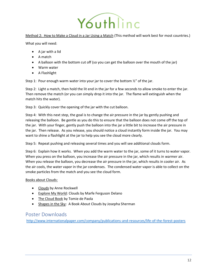

Method 2: How to Make a Cloud in a Jar Using a Match (This method will work best for most countries.)

What you will need:

- A jar with a lid
- A match
- A balloon with the bottom cut off (so you can get the balloon over the mouth of the jar)
- Warm water
- A Flashlight

Step 1: Pour enough warm water into your jar to cover the bottom ½" of the jar.

Step 2: Light a match, then hold the lit end in the jar for a few seconds to allow smoke to enter the jar. Then remove the match (or you can simply drop it into the jar. The flame will extinguish when the match hits the water).

Step 3: Quickly cover the opening of the jar with the cut balloon.

Step 4: With this next step, the goal is to change the air pressure in the jar by gently pushing and releasing the balloon. Be gentle as you do this to ensure that the balloon does not come off the top of the jar. With your finger, gently push the balloon into the jar a little bit to increase the air pressure in the jar. Then release. As you release, you should notice a cloud instantly form inside the jar. You may want to shine a flashlight at the jar to help you see the cloud more clearly.

Step 5: Repeat pushing and releasing several times and you will see additional clouds form.

Step 6: Explain how it works. When you add the warm water to the jar, some of it turns to water vapor. When you press on the balloon, you increase the air pressure in the jar, which results in warmer air. When you release the balloon, you decrease the air pressure in the jar, which results in cooler air. As the air cools, the water vapor in the jar condenses. The condensed water vapor is able to collect on the smoke particles from the match and you see the cloud form.

#### Books about Clouds:

- Clouds by Anne Rockwell
- Explore My World: Clouds by Marfe Ferguson Delano
- The Cloud Book by Tomie de Paola
- Shapes in the Sky: A Book About Clouds by Josepha Sherman

## <span id="page-15-0"></span>Poster Downloads

[http://www.internationalpaper.com/company/publications-and-resources/life-of-the-forest-posters](https://www.theferventmama.com/product/water-cycle-unit-study-rain-ebook/)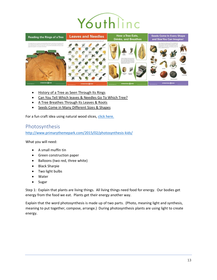## Youthlinc



- [History of a Tree as Seen Through Its Rings](http://www.internationalpaper.com/company/publications-and-resources/life-of-the-forest-posters?sfvrsn=23ebe733_2)
- [Can You Tell Which leaves & Needles Go To Which Tree?](http://buggyandbuddy.com/paper-helicopter-pinwheel-with-free-template?sfvrsn=9ebe733_2)
- [A Tree Breathes Through Its Leaves & Roots](https://www.giftofcuriosity.com/weather-science-how-to-make-a-cloud-in-a-jar/?sfvrsn=3aebe733_2)
- [Seeds Come in Many Different Sizes &](http://www.internationalpaper.com/docs/default-source/english/sustainability/seeds.pdf?sfvrsn=cebe733_2) Shapes

For a fun craft idea using natural wood slices[, click here.](https://2.bp.blogspot.com/-kwxJ-FUSvpA/WuOlUVFvBvI/AAAAAAAAFDI/HK5PA6JIR-Yzb1b9C8UGhHu7KxhRa81ZACLcBGAs/s1600/ACS_0247.jpg?keywords=tree+cookies&qid=1556219536&s=gateway&sr=8-2)

## <span id="page-16-0"></span>Photosynthesis

[http://www.primarythemepark.com/2015/02/photosynthesis-kids/](https://www.naturalbeachliving.com/pollution-activities-for-kids-earth-day-science/)

What you will need:

- A small muffin tin
- Green construction paper
- Balloons (two red, three white)
- Black Sharpie
- Two light bulbs
- Water
- Sugar

Step 1: Explain that plants are living things. All living things need food for energy. Our bodies get energy from the food we eat. Plants get their energy another way.

Explain that the word photosynthesis is made up of two parts. (Photo, meaning light and synthesis, meaning to put together, compose, arrange.) During photosynthesis plants are using light to create energy.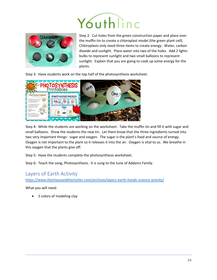## Youthlinc



Step 2: Cut holes from the green construction paper and place over the muffin tin to create a chloroplast model (the green plant cell). Chloroplasts only need three items to create energy: Water, carbon dioxide and sunlight. Place water into two of the holes. Add 2 lights bulbs to represent sunlight and two small balloons to represent sunlight. Explain that you are going to cook up some energy for the plants.

Step 3: Have students work on the top half of the photosynthesis worksheet.



Step 4: While the students are working on the worksheet. Take the muffin tin and fill it with sugar and small balloons. Show the students the new tin. Let them know that the three ingredients turned into two very important things: sugar and oxygen. The sugar is the plant's food and source of energy. Oxygen is not important to the plant so it releases it into the air. Oxygen is vital to us. We breathe in this oxygen that the plants give off.

Step 5: Have the students complete the photosynthesis worksheet.

Step 6: Teach the song, Photosynthesis. It is sung to the tune of Addams Family.

## <span id="page-17-0"></span>Layers of Earth Activity

[https://www.thechaosandtheclutter.com/archives/layers-earth-hands-science-activity/](http://www.primarythemepark.com/2015/02/photosynthesis-kids/)

What you will need:

• 5 colors of modeling clay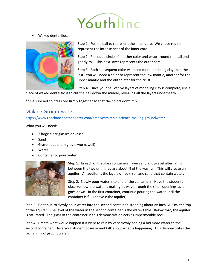

• Waxed dental floss



Step 1: Form a ball to represent the inner core. We chose red to represent the intense heat of the inner core.

Step 2: Roll out a circle of another color and wrap around the ball and gently roll. This next layer represents the outer core.

Step 3: Each subsequent color will need more modeling clay than the last. You will need a color to represent the low mantle, another for the upper mantle and the outer later for the crust.

Step 4: Once your ball of five layers of modeling clay is complete, use a piece of waxed dental floss to cut the ball down the middle, revealing all the layers underneath.

\*\* Be sure not to press too firmly together so that the colors don't mix.

## <span id="page-18-0"></span>Making Groundwater

[https://www.thechaosandtheclutter.com/archives/simple-science-making-groundwater](https://www.amazon.com/Fuyit-Unfinished-Predrilled-Christmas-Ornaments/dp/B078HB4ZD7/ref=sr_1_2)

What you will need:

- 2 large clear glasses or vases
- Sand
- Gravel (aquarium gravel works well)
- Water
- Container to pour water



Step 1: In each of the glass containers, layer sand and gravel alternating between the two until they are about ¾ of the way full. This will create an aquifer. An aquifer is the layers of rock, soil and sand that contain water.

Step 2: Slowly pour water into one of the containers. Have the students observe how the water is making its way through the small openings as it goes down. In the first container, continue pouring the water until the container is full (above e the aquifer).

Step 3: Continue to slowly pour water into the second container, stopping about an inch BELOW the top of the aquifer. The level of the water in the second container is the water table. Below that, the aquifer is saturated. The glass of the container in this demonstration acts as impermeable rock.

Step 4: Create what would happen if it were to rain by very slowly adding a bid more water to the second container. Have your student observe and talk about what is happening. This demonstrates the recharging of groundwater.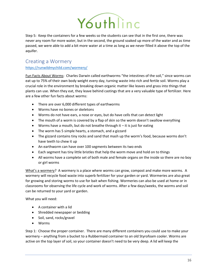

Step 5: Keep the containers for a few weeks so the students can see that in the first one, there was never any room for more water, but in the second, the ground soaked up more of the water and as time passed, we were able to add a bit more water at a time as long as we never filled it above the top of the aquifer.

## <span id="page-19-0"></span>Creating a Wormery

#### [https://runwildmychild.com/wormery/](http://www.internationalpaper.com/docs/default-source/english/sustainability/leavesneedles.pdf)

Fun Facts About Worms: Charles Darwin called earthworms "the intestines of the soil," since worms can eat up to 75% of their own body weight every day, turning waste into rich and fertile soil. Worms play a crucial role in the environment by breaking down organic matter like leaves and grass into things that plants can use. When they eat, they leave behind castings that are a very valuable type of fertilizer. Here are a few other fun facts about worms:

- There are over 6,000 different types of earthworms
- Worms have no bones or skeletons
- Worms do not have ears, a nose or eyes, but do have cells that can detect light
- The mouth of a worm is covered by a flap of skin so the worm doesn't swallow everything
- Worms have a mouth, but do not breathe through it  $-$  it is just for eating
- The worm has 5 simple hearts, a stomach, and a gizzard
- The gizzard contains tiny rocks and sand that mash up the worm's food, because worms don't have teeth to chew it up
- An earthworm can have over 100 segments between its two ends
- Each segment has tiny little bristles that help the worm move and hold on to things
- All worms have a complete set of both male and female organs on the inside so there are no boy or girl worms

What's a wormery? A wormery is a place where worms can grow, compost and make more worms. A wormery will recycle food waste into superb fertilizer for your garden or yard. Wormeries are also great for growing and storing worms to use for bait when fishing. Wormeries can also be used at home or in classrooms for observing the life cycle and work of worms. After a few days/weeks, the worms and soil can be returned to your yard or garden.

What you will need:

- A container with a lid
- Shredded newspaper or bedding
- Soil, sand, rocks/gravel
- Worms

Step 1: Choose the proper container. There are many different containers you could use to make your wormery – anything from a bucket to a Rubbermaid container to an old Styrofoam cooler. Worms are active on the top layer of soil, so your container doesn't need to be very deep. A lid will keep the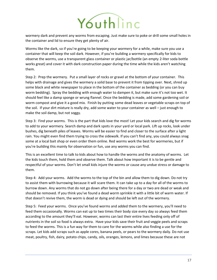

wormery dark and prevent any worms from escaping. Just make sure to poke or drill some small holes in the container and lid to ensure they get plenty of air.

Worms like the dark, so if you're going to be keeping your wormery for a while, make sure you use a container that will keep the soil dark. However, if you're building a wormery specifically for kids to observe the worms, use a transparent glass container or plastic jar/bottle (an empty 2-liter soda bottle works great) and cover it with dark construction paper during the time while the kids aren't watching them.

Step 2: Prep the wormery. Put a small layer of rocks or gravel at the bottom of your container. This helps with drainage and gives the wormery a solid base to prevent it from tipping over. Next, shred up some black and white newspaper to place in the bottom of the container as bedding (or you can buy worm bedding). Spray the bedding with enough water to dampen it, but make sure it's not too wet. It should feel like a damp sponge or wrung flannel. Once the bedding is made, add some gardening soil or worm compost and give it a good mix. Finish by putting some dead leaves or vegetable scraps on top of the soil. If your dirt mixture is really dry, add some water to your container as well – just enough to make the soil damp, but not soggy.

Step 3: Find your worms. This is the part that kids love the most! Let your kids search and dig for worms to add to your wormery. Search damp and dark spots in your yard or local park. Lift up rocks, look under bushes, dig beneath piles of leaves. Worms will be easier to find and closer to the surface after a light rain. You might even find them trying to cross the sidewalk. If you can't find any, you could always snag some at a local bait shop or even order them online. Red worms work the best for wormeries, but if you're building this mainly for observation or fun, use any worms you can find.

This is an excellent time to talk to kids about how to handle the worms and the anatomy of worms. Let the kids touch them, hold them and observe them. Talk about how important it is to be gentle and respectful of your worms. Don't let small kids injure the worms or cause any undue stress or damage to them.

Step 4: Add your worms. Add the worms to the top of the bin and allow them to dig down. Do not try to assist them with burrowing because it will scare them. It can take up to a day for all of the worms to burrow down. Any worms that do not go down after being there for a day or two are dead or weak and should be removed. If you think you've found a dead worm sprinkle it with a little bit of warm water. If that doesn't revive them, the worm is dead or dying and should be left out of the wormery.

Step 5: Feed your worms. Once you've found worms and added them to the wormery, you'll need to feed them occasionally. Worms can eat up to two times their body size every day so always feed them according to the amount they'll eat. However, worms can last their entire lives feeding only off of nutrients in the soil so food is always extra. Have your kids save their fruit and veggie peels and scraps to feed the worms. This is a fun way for them to care for the worms while also finding a use for the scraps. Let kids add scraps such as apple cores, banana peels, or pears to the wormery daily. Do not use meat, poultry, fish, dairy, potato chips, candy, oils, oranges, lemons, and limes because these are not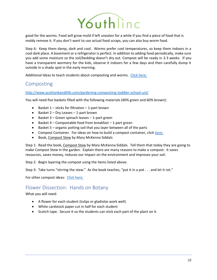

good for the worms. Food will grow mold if left uneaten for a while if you find a piece of food that is moldy remove it. If you don't want to use actual food scraps, you can also buy worm food.

Step 6: Keep them damp, dark and cool. Worms prefer cool temperatures, so keep them indoors in a cool dark place. A basement or a refrigerator is perfect. In addition to adding food periodically, make sure you add some moisture so the soil/bedding doesn't dry out. Compost will be ready in 2-3 weeks. If you have a transparent wormery for the kids, observe it indoors for a few days and then carefully dump it outside in a shady spot in the early morning.

Additional Ideas to teach students about composting and worms. [Click here.](http://www.primarythemepark.com/wp-content/uploads/2015/02/Photosynthesis-Song.pdf?view=detailV2&ccid=%2BexKLijf&id=D7805FD772E38C358B14DC29D140853557E5035C&thid=OIP.-exKLijf6EeA6ibrauvEJwDPEs&q=worm+composting+activity+with+kids&simid=608028836471375002&selectedIndex=0&qpvt=worm+composting+activity+with+kids&ajaxhist=0)

## <span id="page-21-0"></span>Composting

#### [http://www.acottonkandilife.com/gardening-composting-toddler-school-uni/](https://drive.google.com/open)

You will need five baskets filled with the following materials (40% green and 60% brown):

- Basket 1 sticks for filtration 1-part brown
- Basket 2 Dry Leaves 1-part brown
- Basket 3 Green spinach leaves 1-part green
- Basket 4 Compostable food from breakfast 1-part green
- Basket 5 organic potting soil that you layer between all of the parts
- Compost Container. For ideas on how to build a compost container, click [here.](https://drive.google.com/open)
- Book, Compost Stew by Mary McKenna Siddals

Step 1: Read the book, Compost Stew by Mary McKenna Siddals. Tell them that today they are going to make Compost Stew in the garden. Explain there are many reasons to make a compost: it saves resources, saves money, reduces our impact on the environment and improves your soil.

Step 2: Begin layering the compost using the items listed above.

Step 3: Take turns "stirring the stew." As the book teaches, "put it in a pot . . . and let it rot."

For other compost ideas: [Click here.](https://www.thechaosandtheclutter.com/archives/layers-earth-hands-science-activity/?view=detailV2&ccid=%2BexKLijf&id=D7805FD772E38C358B14DC29D140853557E5035C&thid=OIP.-exKLijf6EeA6ibrauvEJwDPEs&q=worm+composting+activity+with+kids&simid=608028836471375002&selectedIndex=0&qpvt=worm+composting+activity+with+kids&ajaxhist=0)

### <span id="page-21-1"></span>Flower Dissection: Hands on Botany

What you will need:

- A flower for each student (tulips or gladiolas work well)
- White cardstock paper cut in half for each student
- Scotch tape. Secure it so the students can stick each part of the plant on it.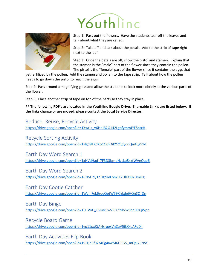



Step 1: Pass out the flowers. Have the students tear off the leaves and talk about what they are called.

Step 2: Take off and talk about the petals. Add to the strip of tape right next to the leaf.

Step 3: Once the petals are off, show the pistol and stamen. Explain that the stamen is the "male" part of the flower since they contain the pollen. The pistol is the "female" part of the flower since it contains the eggs that

get fertilized by the pollen. Add the stamen and pollen to the tape strip. Talk about how the pollen needs to go down the pistol to reach the eggs.

Step 4: Pass around a magnifying glass and allow the students to look more closely at the various parts of the flower.

Step 5. Place another strip of tape on top of the parts so they stay in place.

**\*\* The following PDF's are located in the Youthlinc Google Drive. Shareable Link's are listed below. If the links change or are moved, please contact the Local Service Director.**

<span id="page-22-0"></span>Reduce, Reuse, Recycle Activity

[https://drive.google.com/open?id=1Xwt-z\\_v6HnJB2G142LgofymmJYF8ntxH](https://www.bing.com/images/search?id=1Xwt-z_v6HnJB2G142LgofymmJYF8ntxH)

<span id="page-22-1"></span>Recycle Sorting Activity

[https://drive.google.com/open?id=1sIgd9TXdXoCCxhDiKY2QdyqdQmt6g51d](http://www.internationalpaper.com/docs/default-source/english/sustainability/treerings.pdf?id=1sIgd9TXdXoCCxhDiKY2QdyqdQmt6g51d)

<span id="page-22-2"></span>Earth Day Word Search 1 [https://drive.google.com/open?id=1xHVdHad\\_7F3D3bmpHgtko8xxtWAeQue6](https://runwildmychild.com/wormery/?id=1xHVdHad_7F3D3bmpHgtko8xxtWAeQue6)

<span id="page-22-3"></span>Earth Day Word Search 2 [https://drive.google.com/open?id=1-RzyOdy1bDgckeLbm1F2UlKzJ9xDmiKg](https://www.bing.com/images/search?id=1-RzyOdy1bDgckeLbm1F2UlKzJ9xDmiKg)

<span id="page-22-4"></span>Earth Day Cootie Catcher [https://drive.google.com/open?id=1WcI\\_Fek6rueQptW59KjzkdeiHQnSC\\_Dn](https://drive.google.com/open?id=1WcI_Fek6rueQptW59KjzkdeiHQnSC_Dn)

<span id="page-22-5"></span>Earth Day Bingo [https://drive.google.com/open?id=1U\\_VoQyCvkvkSwVRF0frrkZw5qq0OQWpp](http://www.acottonkandilife.com/building-our-compost-bin-toddler-schoo/?id=1U_VoQyCvkvkSwVRF0frrkZw5qq0OQWpp)

<span id="page-22-6"></span>Recycle Board Game <https://drive.google.com/open?id=1yp11pxKtANx-uexVnZuV5jkKxeAFoiX->

<span id="page-22-7"></span>Earth Day Activities Flip Book [https://drive.google.com/open?id=1STzjn6fu2s46g4awM6URG5\\_mQaj7uNSY](http://firstieland.com/learning-about-trees/?id=1STzjn6fu2s46g4awM6URG5_mQaj7uNSY)